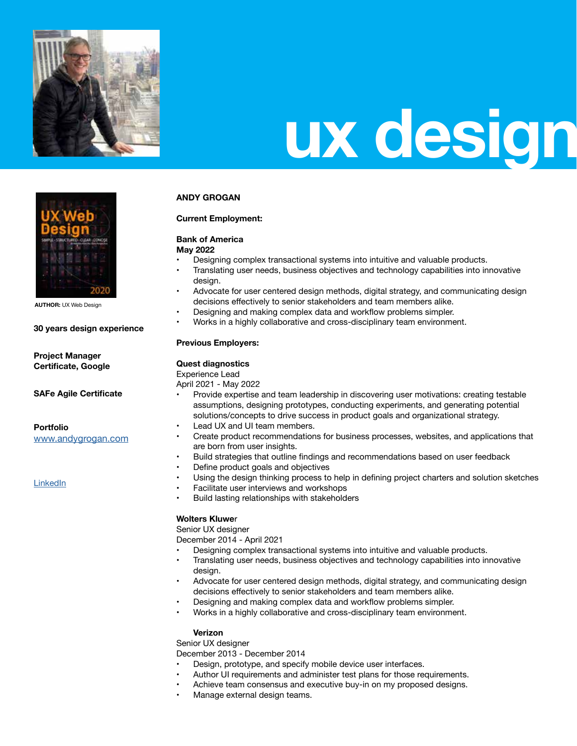

## **ux design**

## **ANDY GROGAN**

### **Current Employment:**

## **Bank of America**

**May 2022**

- Designing complex transactional systems into intuitive and valuable products.
	- Translating user needs, business objectives and technology capabilities into innovative design.
- Advocate for user centered design methods, digital strategy, and communicating design decisions effectively to senior stakeholders and team members alike.
- Designing and making complex data and workflow problems simpler.
- Works in a highly collaborative and cross-disciplinary team environment.

## **Previous Employers:**

### **Quest diagnostics**

Experience Lead April 2021 - May 2022

- Provide expertise and team leadership in discovering user motivations: creating testable assumptions, designing prototypes, conducting experiments, and generating potential solutions/concepts to drive success in product goals and organizational strategy.
- Lead UX and UI team members.
- Create product recommendations for business processes, websites, and applications that are born from user insights.
- Build strategies that outline findings and recommendations based on user feedback
- Define product goals and objectives
- Using the design thinking process to help in defining project charters and solution sketches
- Facilitate user interviews and workshops
- Build lasting relationships with stakeholders

### **Wolters Kluwe**r

Senior UX designer

December 2014 - April 2021

- Designing complex transactional systems into intuitive and valuable products.
- Translating user needs, business objectives and technology capabilities into innovative design.
- Advocate for user centered design methods, digital strategy, and communicating design decisions effectively to senior stakeholders and team members alike.
- Designing and making complex data and workflow problems simpler.
- Works in a highly collaborative and cross-disciplinary team environment.

### **Verizon**

Senior UX designer

December 2013 - December 2014

- Design, prototype, and specify mobile device user interfaces.
- Author UI requirements and administer test plans for those requirements.
- Achieve team consensus and executive buy-in on my proposed designs.
- Manage external design teams.

**AUTHOR:** UX Web Design

### **30 years design experience**

**Project Manager Certificate, Google**

**SAFe Agile Certificate**

### **Portfolio**

www.andygrogan.com

LinkedIn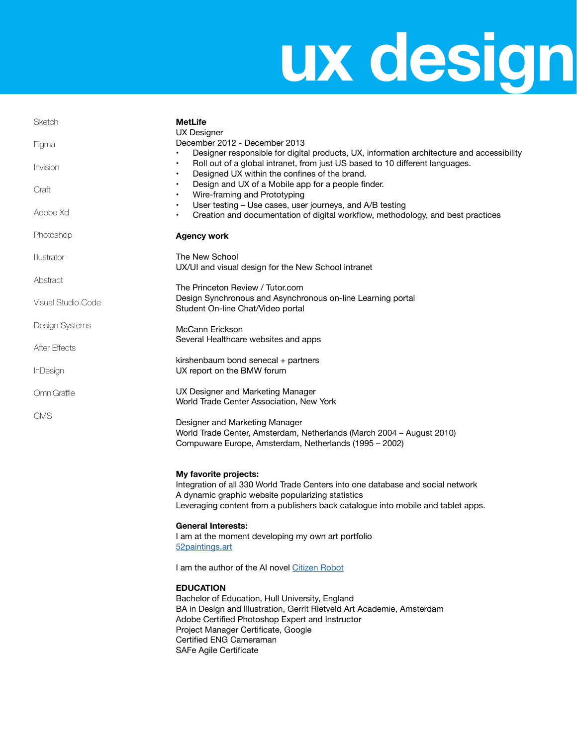## **ux design**

| Sketch               | <b>MetLife</b>                                                                                                                                                                                                                                                                               |
|----------------------|----------------------------------------------------------------------------------------------------------------------------------------------------------------------------------------------------------------------------------------------------------------------------------------------|
| Figma                | <b>UX Designer</b><br>December 2012 - December 2013<br>Designer responsible for digital products, UX, information architecture and accessibility                                                                                                                                             |
| Invision             | Roll out of a global intranet, from just US based to 10 different languages.<br>$\bullet$<br>Designed UX within the confines of the brand.<br>$\bullet$                                                                                                                                      |
| Craft                | Design and UX of a Mobile app for a people finder.<br>Wire-framing and Prototyping<br>$\bullet$                                                                                                                                                                                              |
| Adobe Xd             | User testing - Use cases, user journeys, and A/B testing<br>$\bullet$<br>Creation and documentation of digital workflow, methodology, and best practices<br>$\bullet$                                                                                                                        |
| Photoshop            | <b>Agency work</b>                                                                                                                                                                                                                                                                           |
| Illustrator          | The New School<br>UX/UI and visual design for the New School intranet                                                                                                                                                                                                                        |
| Abstract             | The Princeton Review / Tutor.com                                                                                                                                                                                                                                                             |
| Visual Studio Code   | Design Synchronous and Asynchronous on-line Learning portal<br>Student On-line Chat/Video portal                                                                                                                                                                                             |
| Design Systems       | McCann Erickson                                                                                                                                                                                                                                                                              |
| <b>After Effects</b> | Several Healthcare websites and apps                                                                                                                                                                                                                                                         |
| <b>InDesign</b>      | kirshenbaum bond senecal + partners<br>UX report on the BMW forum                                                                                                                                                                                                                            |
| OmniGraffle          | UX Designer and Marketing Manager<br>World Trade Center Association, New York                                                                                                                                                                                                                |
| <b>CMS</b>           | Designer and Marketing Manager<br>World Trade Center, Amsterdam, Netherlands (March 2004 - August 2010)<br>Compuware Europe, Amsterdam, Netherlands (1995 - 2002)                                                                                                                            |
|                      | My favorite projects:<br>Integration of all 330 World Trade Centers into one database and social network<br>A dynamic graphic website popularizing statistics<br>Leveraging content from a publishers back catalogue into mobile and tablet apps.                                            |
|                      | <b>General Interests:</b><br>I am at the moment developing my own art portfolio<br>52 paintings.art                                                                                                                                                                                          |
|                      | I am the author of the AI novel Citizen Robot                                                                                                                                                                                                                                                |
|                      | <b>EDUCATION</b><br>Bachelor of Education, Hull University, England<br>BA in Design and Illustration, Gerrit Rietveld Art Academie, Amsterdam<br>Adobe Certified Photoshop Expert and Instructor<br>Project Manager Certificate, Google<br>Certified ENG Cameraman<br>SAFe Agile Certificate |